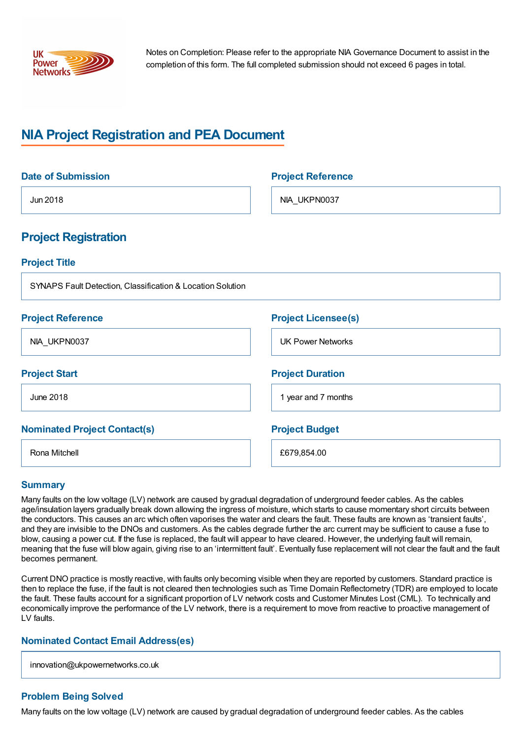

Notes on Completion: Please refer to the appropriate NIA Governance Document to assist in the completion of this form. The full completed submission should not exceed 6 pages in total.

# **NIA Project Registration and PEA Document**

| <b>Date of Submission</b>                                  | <b>Project Reference</b>   |
|------------------------------------------------------------|----------------------------|
| Jun 2018                                                   | NIA_UKPN0037               |
| <b>Project Registration</b>                                |                            |
| <b>Project Title</b>                                       |                            |
| SYNAPS Fault Detection, Classification & Location Solution |                            |
| <b>Project Reference</b>                                   | <b>Project Licensee(s)</b> |
| NIA_UKPN0037                                               | <b>UK Power Networks</b>   |
| <b>Project Start</b>                                       | <b>Project Duration</b>    |
| <b>June 2018</b>                                           | 1 year and 7 months        |
| <b>Nominated Project Contact(s)</b>                        | <b>Project Budget</b>      |
| Rona Mitchell                                              | £679,854.00                |

## **Summary**

Many faults on the low voltage (LV) network are caused by gradual degradation of underground feeder cables. As the cables age/insulation layers gradually break down allowing the ingress of moisture, which starts to cause momentary short circuits between the conductors. This causes an arc which often vaporises the water and clears the fault. These faults are known as 'transient faults', and they are invisible to the DNOs and customers. As the cables degrade further the arc current may be sufficient to cause a fuse to blow, causing a power cut. If the fuse is replaced, the fault will appear to have cleared. However, the underlying fault will remain, meaning that the fuse will blow again, giving rise to an 'intermittent fault'. Eventually fuse replacement will not clear the fault and the fault becomes permanent.

Current DNO practice is mostly reactive, with faults only becoming visible when they are reported by customers. Standard practice is then to replace the fuse, if the fault is not cleared then technologies such as Time Domain Reflectometry (TDR) are employed to locate the fault. These faults account for a significant proportion of LV network costs and Customer Minutes Lost (CML). To technically and economically improve the performance of the LV network, there is a requirement to move from reactive to proactive management of LV faults.

## **Nominated Contact Email Address(es)**

innovation@ukpowernetworks.co.uk

#### **Problem Being Solved**

Many faults on the low voltage (LV) network are caused by gradual degradation of underground feeder cables. As the cables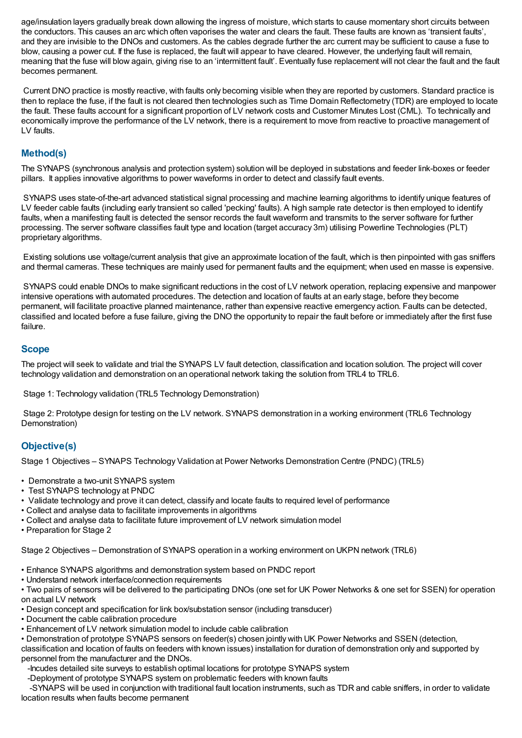age/insulation layers gradually break down allowing the ingress of moisture, which starts to cause momentary short circuits between the conductors. This causes an arc which often vaporises the water and clears the fault. These faults are known as 'transient faults', and they are invisible to the DNOs and customers. As the cables degrade further the arc current may be sufficient to cause a fuse to blow, causing a power cut. If the fuse is replaced, the fault will appear to have cleared. However, the underlying fault will remain, meaning that the fuse will blow again, giving rise to an 'intermittent fault'. Eventually fuse replacement will not clear the fault and the fault becomes permanent.

Current DNO practice is mostly reactive, with faults only becoming visible when they are reported by customers. Standard practice is then to replace the fuse, if the fault is not cleared then technologies such as Time Domain Reflectometry (TDR) are employed to locate the fault. These faults account for a significant proportion of LV network costs and Customer Minutes Lost (CML). To technically and economically improve the performance of the LV network, there is a requirement to move from reactive to proactive management of LV faults.

## **Method(s)**

The SYNAPS (synchronous analysis and protection system) solution will be deployed in substations and feeder link-boxes or feeder pillars. It applies innovative algorithms to power waveforms in order to detect and classify fault events.

SYNAPS uses state-of-the-art advanced statistical signal processing and machine learning algorithms to identify unique features of LV feeder cable faults (including early transient so called 'pecking' faults). A high sample rate detector is then employed to identify faults, when a manifesting fault is detected the sensor records the fault waveform and transmits to the server software for further processing. The server software classifies fault type and location (target accuracy 3m) utilising Powerline Technologies (PLT) proprietary algorithms.

Existing solutions use voltage/current analysis that give an approximate location of the fault, which is then pinpointed with gas sniffers and thermal cameras. These techniques are mainly used for permanent faults and the equipment; when used en masse is expensive.

SYNAPS could enable DNOs to make significant reductions in the cost of LV network operation, replacing expensive and manpower intensive operations with automated procedures. The detection and location of faults at an early stage, before they become permanent, will facilitate proactive planned maintenance, rather than expensive reactive emergency action. Faults can be detected, classified and located before a fuse failure, giving the DNO the opportunity to repair the fault before or immediately after the first fuse failure.

#### **Scope**

The project will seek to validate and trial the SYNAPS LV fault detection, classification and location solution. The project will cover technology validation and demonstration on an operational network taking the solution from TRL4 to TRL6.

Stage 1: Technology validation (TRL5 Technology Demonstration)

Stage 2: Prototype design for testing on the LV network. SYNAPS demonstration in a working environment (TRL6 Technology Demonstration)

## **Objective(s)**

Stage 1 Objectives – SYNAPS Technology Validation at Power Networks Demonstration Centre (PNDC) (TRL5)

- Demonstrate a two-unit SYNAPS system
- Test SYNAPS technology at PNDC
- Validate technology and prove it can detect, classify and locate faults to required level of performance
- Collect and analyse data to facilitate improvements in algorithms
- Collect and analyse data to facilitate future improvement of LV network simulation model

• Preparation for Stage 2

Stage 2 Objectives – Demonstration of SYNAPS operation in a working environment on UKPN network (TRL6)

• Enhance SYNAPS algorithms and demonstration system based on PNDC report

• Understand network interface/connection requirements

• Two pairs of sensors will be delivered to the participating DNOs (one set for UK Power Networks & one set for SSEN) for operation on actual LV network

• Design concept and specification for link box/substation sensor (including transducer)

- Document the cable calibration procedure
- Enhancement of LV network simulation model to include cable calibration
- Demonstration of prototype SYNAPS sensors on feeder(s) chosen jointly with UK Power Networks and SSEN (detection,

classification and location of faults on feeders with known issues) installation for duration of demonstration only and supported by personnel from the manufacturer and the DNOs.

-Incudes detailed site surveys to establish optimal locations for prototype SYNAPS system

-Deployment of prototype SYNAPS system on problematic feeders with known faults

-SYNAPS will be used in conjunction with traditional fault location instruments, such as TDR and cable sniffers, in order to validate location results when faults become permanent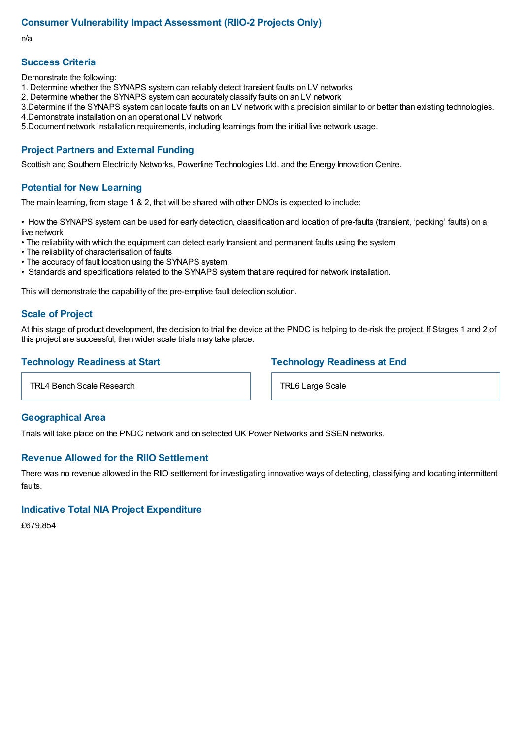## **Consumer Vulnerability Impact Assessment (RIIO-2 Projects Only)**

n/a

## **Success Criteria**

Demonstrate the following:

- 1. Determine whether the SYNAPS system can reliably detect transient faults on LV networks
- 2. Determine whether the SYNAPS system can accurately classify faults on an LV network
- 3.Determine if the SYNAPS system can locate faults on an LV network with a precision similar to or better than existing technologies.
- 4.Demonstrate installation on an operational LV network
- 5.Document network installation requirements, including learnings from the initial live network usage.

#### **Project Partners and External Funding**

Scottish and Southern Electricity Networks, Powerline Technologies Ltd. and the Energy Innovation Centre.

#### **Potential for New Learning**

The main learning, from stage 1 & 2, that will be shared with other DNOs is expected to include:

• How the SYNAPS system can be used for early detection, classification and location of pre-faults (transient, 'pecking' faults) on a live network

- The reliability with which the equipment can detect early transient and permanent faults using the system
- The reliability of characterisation of faults
- The accuracy of fault location using the SYNAPS system.
- Standards and specifications related to the SYNAPS system that are required for network installation.

This will demonstrate the capability of the pre-emptive fault detection solution.

#### **Scale of Project**

At this stage of product development, the decision to trial the device at the PNDC is helping to de-risk the project. If Stages 1 and 2 of this project are successful, then wider scale trials may take place.

#### **Technology Readiness at Start**

TRL4 Bench Scale Research

#### **Geographical Area**

Trials will take place on the PNDC network and on selected UK Power Networks and SSEN networks.

#### **Revenue Allowed for the RIIO Settlement**

There was no revenue allowed in the RIIO settlement for investigating innovative ways of detecting, classifying and locating intermittent faults.

#### **Indicative Total NIA Project Expenditure**

£679,854

## **Technology Readiness at End**

TRL6 Large Scale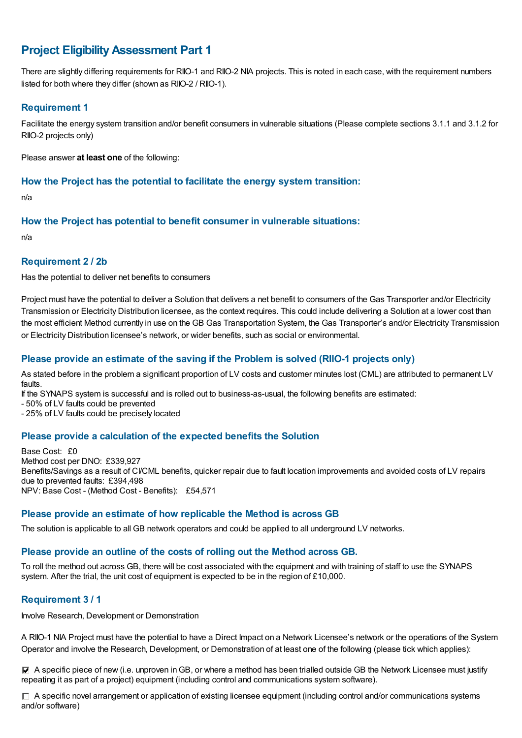## **Project EligibilityAssessment Part 1**

There are slightly differing requirements for RIIO-1 and RIIO-2 NIA projects. This is noted in each case, with the requirement numbers listed for both where they differ (shown as RIIO-2 / RIIO-1).

## **Requirement 1**

Facilitate the energy system transition and/or benefit consumers in vulnerable situations (Please complete sections 3.1.1 and 3.1.2 for RIIO-2 projects only)

Please answer **at least one** of the following:

#### **How the Project has the potential to facilitate the energy system transition:**

n/a

## **How the Project has potential to benefit consumer in vulnerable situations:**

n/a

#### **Requirement 2 / 2b**

Has the potential to deliver net benefits to consumers

Project must have the potential to deliver a Solution that delivers a net benefit to consumers of the Gas Transporter and/or Electricity Transmission or Electricity Distribution licensee, as the context requires. This could include delivering a Solution at a lower cost than the most efficient Method currently in use on the GB Gas Transportation System, the Gas Transporter's and/or Electricity Transmission or Electricity Distribution licensee's network, or wider benefits, such as social or environmental.

## **Please provide an estimate of the saving if the Problem is solved (RIIO-1 projects only)**

As stated before in the problem a significant proportion of LV costs and customer minutes lost (CML) are attributed to permanent LV faults.

If the SYNAPS system is successful and is rolled out to business-as-usual, the following benefits are estimated:

- 50% of LV faults could be prevented

- 25% of LV faults could be precisely located

## **Please provide a calculation of the expected benefits the Solution**

Base Cost: £0 Method cost per DNO: £339,927 Benefits/Savings as a result of CI/CML benefits, quicker repair due to fault location improvements and avoided costs of LV repairs due to prevented faults: £394,498 NPV: Base Cost - (Method Cost - Benefits): £54,571

#### **Please provide an estimate of how replicable the Method is across GB**

The solution is applicable to all GB network operators and could be applied to all underground LV networks.

## **Please provide an outline of the costs of rolling out the Method across GB.**

To roll the method out across GB, there will be cost associated with the equipment and with training of staff to use the SYNAPS system. After the trial, the unit cost of equipment is expected to be in the region of £10,000.

## **Requirement 3 / 1**

Involve Research, Development or Demonstration

A RIIO-1 NIA Project must have the potential to have a Direct Impact on a Network Licensee's network or the operations of the System Operator and involve the Research, Development, or Demonstration of at least one of the following (please tick which applies):

 $\blacktriangledown$  A specific piece of new (i.e. unproven in GB, or where a method has been trialled outside GB the Network Licensee must justify repeating it as part of a project) equipment (including control and communications system software).

 $\Box$  A specific novel arrangement or application of existing licensee equipment (including control and/or communications systems and/or software)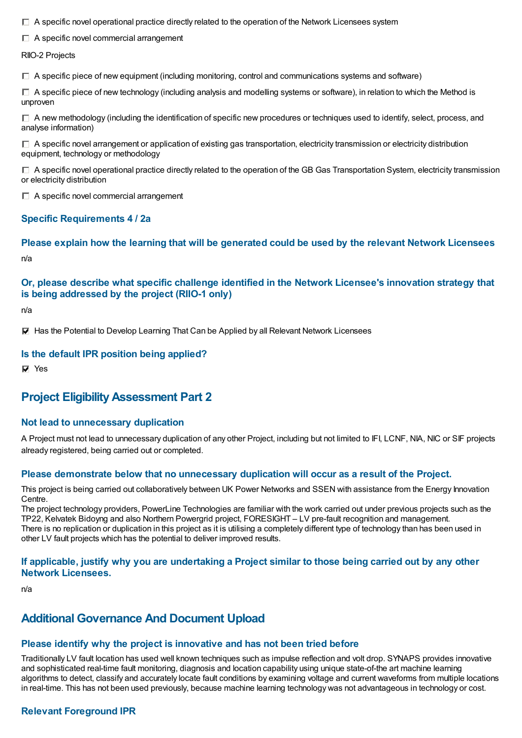$\Box$  A specific novel operational practice directly related to the operation of the Network Licensees system

A specific novel commercial arrangement

RIIO-2 Projects

 $\Box$  A specific piece of new equipment (including monitoring, control and communications systems and software)

 $\Box$  A specific piece of new technology (including analysis and modelling systems or software), in relation to which the Method is unproven

 $\Box$  A new methodology (including the identification of specific new procedures or techniques used to identify, select, process, and analyse information)

 $\Box$  A specific novel arrangement or application of existing gas transportation, electricity transmission or electricity distribution equipment, technology or methodology

 $\Box$  A specific novel operational practice directly related to the operation of the GB Gas Transportation System, electricity transmission or electricity distribution

 $\Box$  A specific novel commercial arrangement

#### **Specific Requirements 4 / 2a**

**Please explain how the learning that will be generated could be used by the relevant Network Licensees** n/a

## **Or, please describe what specific challenge identified in the Network Licensee's innovation strategy that is being addressed by the project (RIIO-1 only)**

n/a

**Has the Potential to Develop Learning That Can be Applied by all Relevant Network Licensees** 

#### **Is the default IPR position being applied?**

**Ves** 

## **Project EligibilityAssessment Part 2**

#### **Not lead to unnecessary duplication**

A Project must not lead to unnecessary duplication of any other Project, including but not limited to IFI, LCNF, NIA, NIC or SIF projects already registered, being carried out or completed.

#### **Please demonstrate below that no unnecessary duplication will occur as a result of the Project.**

This project is being carried out collaboratively between UK Power Networks and SSEN with assistance from the Energy Innovation Centre.

The project technology providers, PowerLine Technologies are familiar with the work carried out under previous projects such as the TP22, Kelvatek Bidoyng and also Northern Powergrid project, FORESIGHT – LV pre-fault recognition and management. There is no replication or duplication in this project as it is utilising a completely different type of technology than has been used in other LV fault projects which has the potential to deliver improved results.

#### If applicable, justify why you are undertaking a Project similar to those being carried out by any other **Network Licensees.**

n/a

## **Additional Governance And Document Upload**

## **Please identify why the project is innovative and has not been tried before**

Traditionally LV fault location has used well known techniques such as impulse reflection and volt drop. SYNAPS provides innovative and sophisticated real-time fault monitoring, diagnosis and location capability using unique state-of-the art machine learning algorithms to detect, classify and accurately locate fault conditions by examining voltage and current waveforms from multiple locations in real-time. This has not been used previously, because machine learning technology was not advantageous in technology or cost.

## **Relevant Foreground IPR**